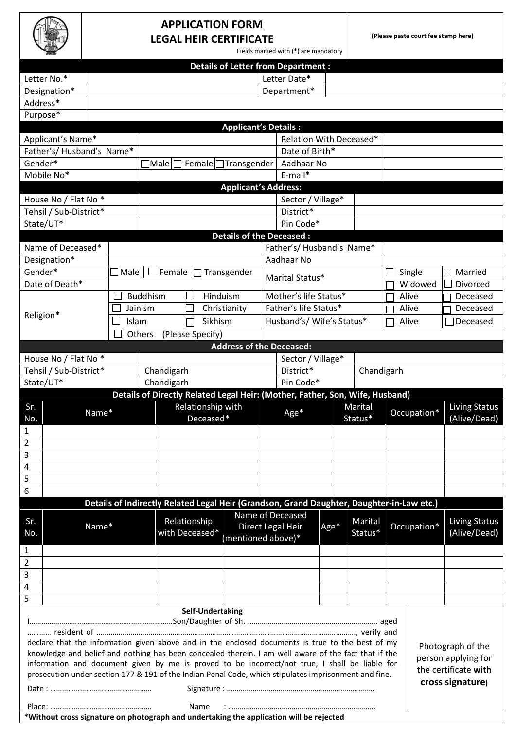## **APPLICATION FORM LEGAL HEIR CERTIFICATE**

**(Please paste court fee stamp here)**

| Fields marked with (*) are mandatory |  |
|--------------------------------------|--|
|--------------------------------------|--|

|                                                                                                                             |                                                                                                                                                                                                                                 |             |                 |                   |                                 |  | <b>Details of Letter from Department:</b>                                                 |      |         |  |             |                      |
|-----------------------------------------------------------------------------------------------------------------------------|---------------------------------------------------------------------------------------------------------------------------------------------------------------------------------------------------------------------------------|-------------|-----------------|-------------------|---------------------------------|--|-------------------------------------------------------------------------------------------|------|---------|--|-------------|----------------------|
| Letter No.*                                                                                                                 |                                                                                                                                                                                                                                 |             |                 |                   |                                 |  | Letter Date*                                                                              |      |         |  |             |                      |
|                                                                                                                             |                                                                                                                                                                                                                                 |             |                 |                   |                                 |  |                                                                                           |      |         |  |             |                      |
| Designation*<br>Address*                                                                                                    |                                                                                                                                                                                                                                 |             |                 |                   |                                 |  | Department*                                                                               |      |         |  |             |                      |
|                                                                                                                             |                                                                                                                                                                                                                                 |             |                 |                   |                                 |  |                                                                                           |      |         |  |             |                      |
| Purpose*                                                                                                                    |                                                                                                                                                                                                                                 |             |                 |                   |                                 |  |                                                                                           |      |         |  |             |                      |
|                                                                                                                             |                                                                                                                                                                                                                                 |             |                 |                   | <b>Applicant's Details:</b>     |  |                                                                                           |      |         |  |             |                      |
|                                                                                                                             | Applicant's Name*<br>Relation With Deceased*<br>Date of Birth*                                                                                                                                                                  |             |                 |                   |                                 |  |                                                                                           |      |         |  |             |                      |
| Father's/ Husband's Name*                                                                                                   |                                                                                                                                                                                                                                 |             |                 |                   |                                 |  |                                                                                           |      |         |  |             |                      |
| Gender*                                                                                                                     |                                                                                                                                                                                                                                 |             | <b>Male</b>     |                   | Female Transgender              |  | Aadhaar No                                                                                |      |         |  |             |                      |
|                                                                                                                             | E-mail*<br>Mobile No*<br><b>Applicant's Address:</b>                                                                                                                                                                            |             |                 |                   |                                 |  |                                                                                           |      |         |  |             |                      |
|                                                                                                                             |                                                                                                                                                                                                                                 |             |                 |                   |                                 |  |                                                                                           |      |         |  |             |                      |
| House No / Flat No *<br>Tehsil / Sub-District*                                                                              |                                                                                                                                                                                                                                 |             |                 |                   |                                 |  | Sector / Village*                                                                         |      |         |  |             |                      |
|                                                                                                                             |                                                                                                                                                                                                                                 |             |                 |                   |                                 |  | District*<br>Pin Code*                                                                    |      |         |  |             |                      |
| State/UT*                                                                                                                   |                                                                                                                                                                                                                                 |             |                 |                   |                                 |  |                                                                                           |      |         |  |             |                      |
|                                                                                                                             |                                                                                                                                                                                                                                 |             |                 |                   | <b>Details of the Deceased:</b> |  |                                                                                           |      |         |  |             |                      |
| Name of Deceased*                                                                                                           |                                                                                                                                                                                                                                 |             |                 |                   |                                 |  | Father's/ Husband's Name*                                                                 |      |         |  |             |                      |
| Designation*                                                                                                                |                                                                                                                                                                                                                                 |             |                 |                   |                                 |  | Aadhaar No                                                                                |      |         |  |             |                      |
| Gender*                                                                                                                     |                                                                                                                                                                                                                                 | $\Box$ Male | Female<br>- 1   |                   | Transgender                     |  | Marital Status*                                                                           |      |         |  | Single      | Married              |
| Date of Death*                                                                                                              |                                                                                                                                                                                                                                 |             |                 |                   |                                 |  |                                                                                           |      |         |  | Widowed     | Divorced             |
|                                                                                                                             |                                                                                                                                                                                                                                 |             | <b>Buddhism</b> |                   | Hinduism                        |  | Mother's life Status*                                                                     |      |         |  | Alive       | Deceased             |
| Religion*                                                                                                                   |                                                                                                                                                                                                                                 | Jainism     |                 |                   | Christianity                    |  | Father's life Status*                                                                     |      |         |  | Alive       | Deceased             |
|                                                                                                                             |                                                                                                                                                                                                                                 | Islam       |                 | Sikhism           |                                 |  | Husband's/ Wife's Status*                                                                 |      |         |  | Alive       | Deceased             |
|                                                                                                                             |                                                                                                                                                                                                                                 |             | Others          | (Please Specify)  |                                 |  |                                                                                           |      |         |  |             |                      |
|                                                                                                                             |                                                                                                                                                                                                                                 |             |                 |                   | <b>Address of the Deceased:</b> |  |                                                                                           |      |         |  |             |                      |
| House No / Flat No *                                                                                                        |                                                                                                                                                                                                                                 |             |                 |                   |                                 |  | Sector / Village*                                                                         |      |         |  |             |                      |
| Tehsil / Sub-District*                                                                                                      |                                                                                                                                                                                                                                 |             | Chandigarh      |                   |                                 |  | District*<br>Chandigarh                                                                   |      |         |  |             |                      |
| State/UT*                                                                                                                   |                                                                                                                                                                                                                                 |             | Chandigarh      |                   |                                 |  | Pin Code*                                                                                 |      |         |  |             |                      |
|                                                                                                                             |                                                                                                                                                                                                                                 |             |                 |                   |                                 |  | Details of Directly Related Legal Heir: (Mother, Father, Son, Wife, Husband)              |      |         |  |             |                      |
| Sr.                                                                                                                         | Name*                                                                                                                                                                                                                           |             |                 | Relationship with |                                 |  | Age*                                                                                      |      | Marital |  | Occupation* | Living Status        |
| No.                                                                                                                         |                                                                                                                                                                                                                                 |             |                 | Deceased*         |                                 |  |                                                                                           |      | Status* |  |             | (Alive/Dead)         |
| 1                                                                                                                           |                                                                                                                                                                                                                                 |             |                 |                   |                                 |  |                                                                                           |      |         |  |             |                      |
| $\mathbf 2$                                                                                                                 |                                                                                                                                                                                                                                 |             |                 |                   |                                 |  |                                                                                           |      |         |  |             |                      |
| 3                                                                                                                           |                                                                                                                                                                                                                                 |             |                 |                   |                                 |  |                                                                                           |      |         |  |             |                      |
| $\overline{a}$                                                                                                              |                                                                                                                                                                                                                                 |             |                 |                   |                                 |  |                                                                                           |      |         |  |             |                      |
| 5                                                                                                                           |                                                                                                                                                                                                                                 |             |                 |                   |                                 |  |                                                                                           |      |         |  |             |                      |
| 6                                                                                                                           |                                                                                                                                                                                                                                 |             |                 |                   |                                 |  |                                                                                           |      |         |  |             |                      |
|                                                                                                                             |                                                                                                                                                                                                                                 |             |                 |                   |                                 |  | Details of Indirectly Related Legal Heir (Grandson, Grand Daughter, Daughter-in-Law etc.) |      |         |  |             |                      |
| Sr.                                                                                                                         |                                                                                                                                                                                                                                 |             |                 | Relationship      |                                 |  | Name of Deceased                                                                          |      | Marital |  |             | <b>Living Status</b> |
| No.                                                                                                                         | Name*                                                                                                                                                                                                                           |             |                 | with Deceased*    |                                 |  | Direct Legal Heir                                                                         | Age* | Status* |  | Occupation* | (Alive/Dead)         |
|                                                                                                                             |                                                                                                                                                                                                                                 |             |                 |                   | (mentioned above)*              |  |                                                                                           |      |         |  |             |                      |
| 1<br>$\overline{2}$                                                                                                         |                                                                                                                                                                                                                                 |             |                 |                   |                                 |  |                                                                                           |      |         |  |             |                      |
|                                                                                                                             |                                                                                                                                                                                                                                 |             |                 |                   |                                 |  |                                                                                           |      |         |  |             |                      |
| 3                                                                                                                           |                                                                                                                                                                                                                                 |             |                 |                   |                                 |  |                                                                                           |      |         |  |             |                      |
| 4<br>5                                                                                                                      |                                                                                                                                                                                                                                 |             |                 |                   |                                 |  |                                                                                           |      |         |  |             |                      |
|                                                                                                                             |                                                                                                                                                                                                                                 |             |                 |                   |                                 |  |                                                                                           |      |         |  |             |                      |
| <b>Self-Undertaking</b>                                                                                                     |                                                                                                                                                                                                                                 |             |                 |                   |                                 |  |                                                                                           |      |         |  |             |                      |
| declare that the information given above and in the enclosed documents is true to the best of my<br>Photograph of the       |                                                                                                                                                                                                                                 |             |                 |                   |                                 |  |                                                                                           |      |         |  |             |                      |
| knowledge and belief and nothing has been concealed therein. I am well aware of the fact that if the<br>person applying for |                                                                                                                                                                                                                                 |             |                 |                   |                                 |  |                                                                                           |      |         |  |             |                      |
|                                                                                                                             | information and document given by me is proved to be incorrect/not true, I shall be liable for<br>the certificate with<br>prosecution under section 177 & 191 of the Indian Penal Code, which stipulates imprisonment and fine. |             |                 |                   |                                 |  |                                                                                           |      |         |  |             |                      |
| cross signature)                                                                                                            |                                                                                                                                                                                                                                 |             |                 |                   |                                 |  |                                                                                           |      |         |  |             |                      |
|                                                                                                                             |                                                                                                                                                                                                                                 |             |                 |                   |                                 |  |                                                                                           |      |         |  |             |                      |
|                                                                                                                             |                                                                                                                                                                                                                                 |             |                 | Name              |                                 |  |                                                                                           |      |         |  |             |                      |

**\*Without cross signature on photograph and undertaking the application will be rejected**